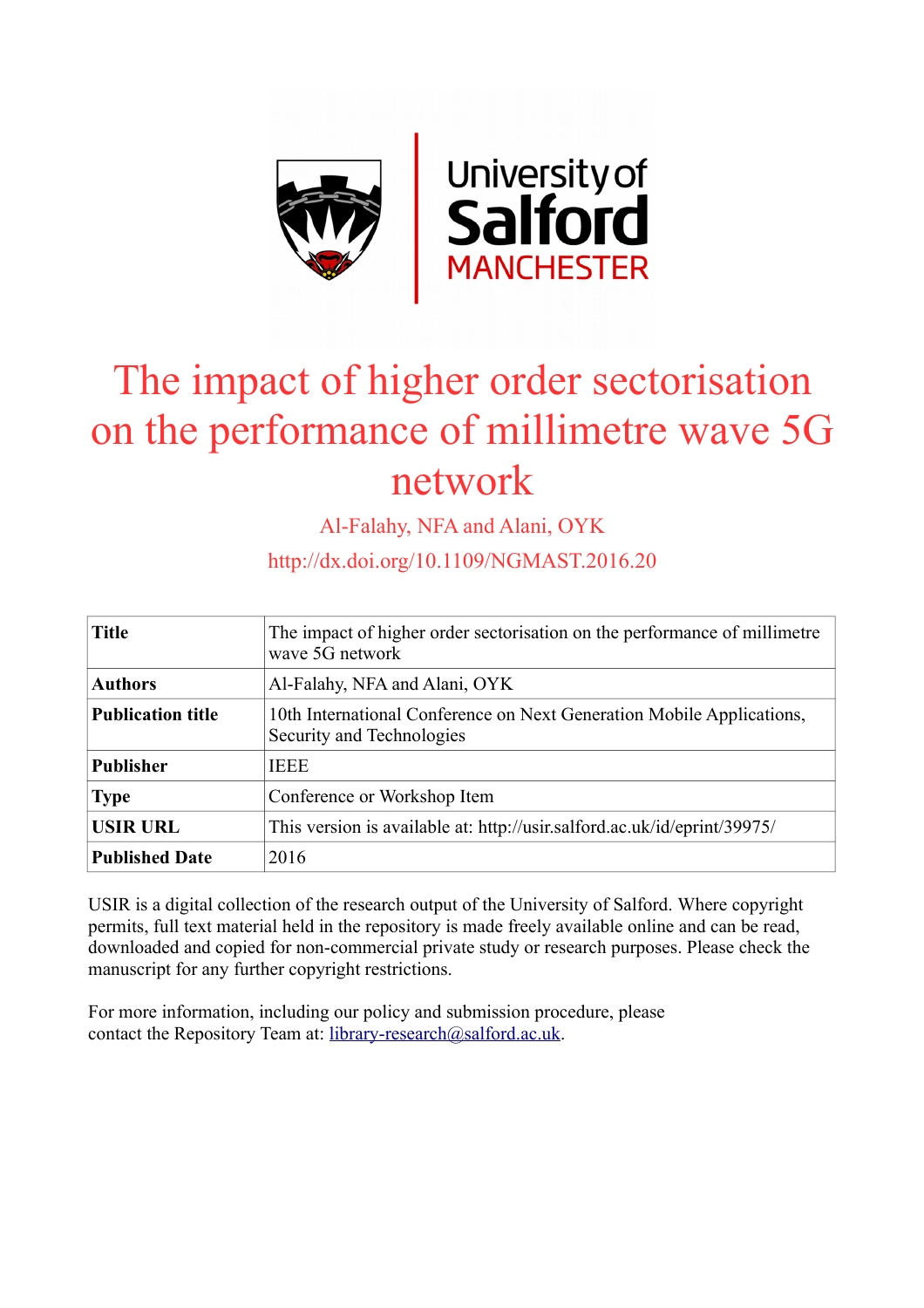

# The impact of higher order sectorisation on the performance of millimetre wave 5G network

Al-Falahy, NFA and Alani, OYK

http://dx.doi.org/10.1109/NGMAST.2016.20

| <b>Title</b>             | The impact of higher order sectorisation on the performance of millimetre<br>wave 5G network       |
|--------------------------|----------------------------------------------------------------------------------------------------|
| <b>Authors</b>           | Al-Falahy, NFA and Alani, OYK                                                                      |
| <b>Publication title</b> | 10th International Conference on Next Generation Mobile Applications,<br>Security and Technologies |
| <b>Publisher</b>         | <b>IEEE</b>                                                                                        |
| <b>Type</b>              | Conference or Workshop Item                                                                        |
| <b>USIR URL</b>          | This version is available at: http://usir.salford.ac.uk/id/eprint/39975/                           |
| <b>Published Date</b>    | 2016                                                                                               |

USIR is a digital collection of the research output of the University of Salford. Where copyright permits, full text material held in the repository is made freely available online and can be read, downloaded and copied for non-commercial private study or research purposes. Please check the manuscript for any further copyright restrictions.

For more information, including our policy and submission procedure, please contact the Repository Team at: [library-research@salford.ac.uk.](mailto:library-research@salford.ac.uk)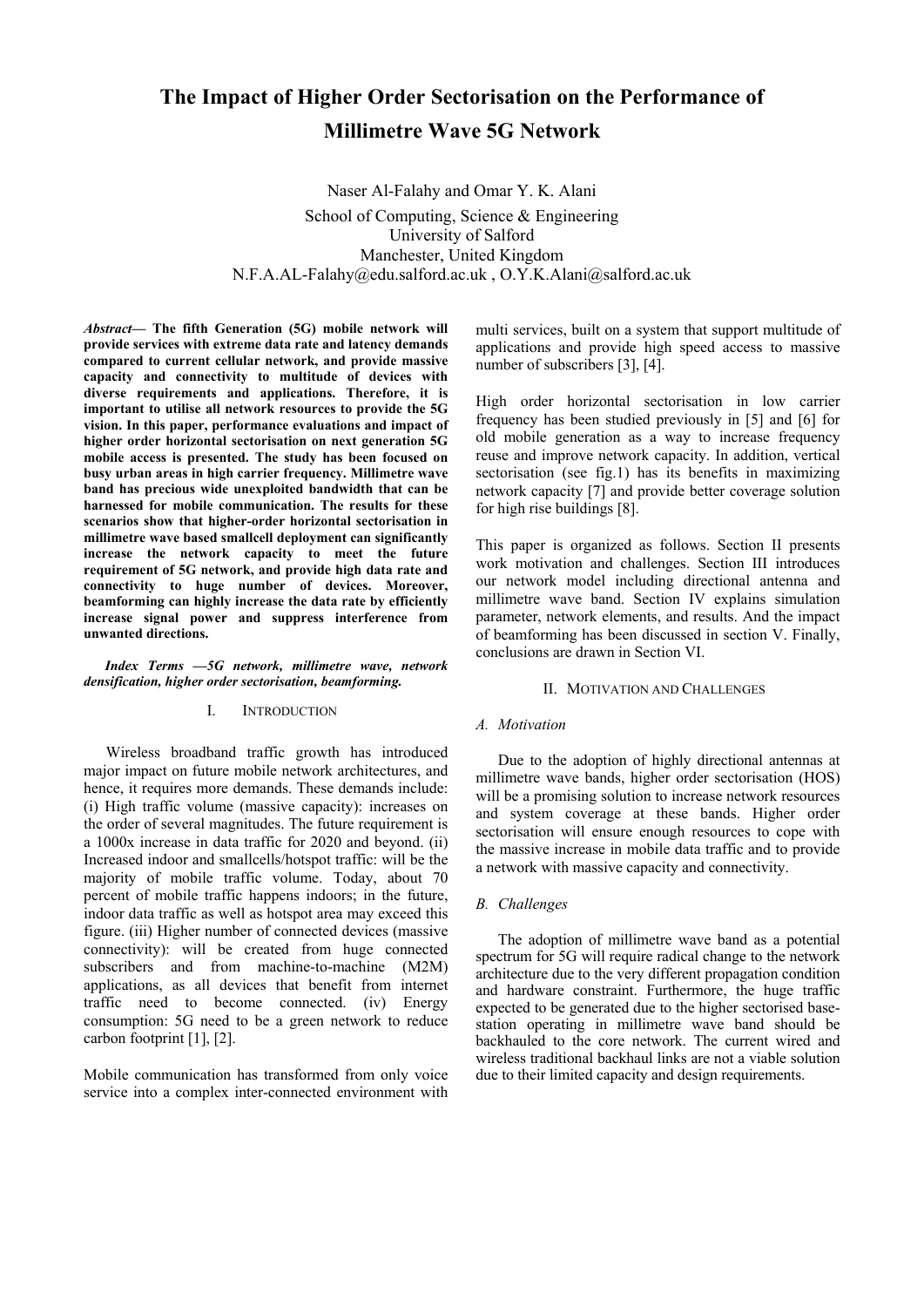# **The Impact of Higher Order Sectorisation on the Performance of Millimetre Wave 5G Network**

Naser Al-Falahy and Omar Y. K. Alani School of Computing, Science & Engineering University of Salford Manchester, United Kingdom N.F.A.AL-Falahy@edu.salford.ac.uk , O.Y.K.Alani@salford.ac.uk

*Abstract***— The fifth Generation (5G) mobile network will provide services with extreme data rate and latency demands compared to current cellular network, and provide massive capacity and connectivity to multitude of devices with diverse requirements and applications. Therefore, it is important to utilise all network resources to provide the 5G vision. In this paper, performance evaluations and impact of higher order horizontal sectorisation on next generation 5G mobile access is presented. The study has been focused on busy urban areas in high carrier frequency. Millimetre wave band has precious wide unexploited bandwidth that can be harnessed for mobile communication. The results for these scenarios show that higher-order horizontal sectorisation in millimetre wave based smallcell deployment can significantly increase the network capacity to meet the future requirement of 5G network, and provide high data rate and connectivity to huge number of devices. Moreover, beamforming can highly increase the data rate by efficiently increase signal power and suppress interference from unwanted directions.** 

#### *Index Terms —5G network, millimetre wave, network densification, higher order sectorisation, beamforming.*

# I. INTRODUCTION

Wireless broadband traffic growth has introduced major impact on future mobile network architectures, and hence, it requires more demands. These demands include: (i) High traffic volume (massive capacity): increases on the order of several magnitudes. The future requirement is a 1000x increase in data traffic for 2020 and beyond. (ii) Increased indoor and smallcells/hotspot traffic: will be the majority of mobile traffic volume. Today, about 70 percent of mobile traffic happens indoors; in the future, indoor data traffic as well as hotspot area may exceed this figure. (iii) Higher number of connected devices (massive connectivity): will be created from huge connected subscribers and from machine-to-machine (M2M) applications, as all devices that benefit from internet traffic need to become connected. (iv) Energy consumption: 5G need to be a green network to reduce carbon footprint [1], [2].

Mobile communication has transformed from only voice service into a complex inter-connected environment with

multi services, built on a system that support multitude of applications and provide high speed access to massive number of subscribers [3], [4].

High order horizontal sectorisation in low carrier frequency has been studied previously in [5] and [6] for old mobile generation as a way to increase frequency reuse and improve network capacity. In addition, vertical sectorisation (see fig.1) has its benefits in maximizing network capacity [7] and provide better coverage solution for high rise buildings [8].

This paper is organized as follows. Section II presents work motivation and challenges. Section III introduces our network model including directional antenna and millimetre wave band. Section IV explains simulation parameter, network elements, and results. And the impact of beamforming has been discussed in section V. Finally, conclusions are drawn in Section VI.

# II. MOTIVATION AND CHALLENGES

# *A. Motivation*

Due to the adoption of highly directional antennas at millimetre wave bands, higher order sectorisation (HOS) will be a promising solution to increase network resources and system coverage at these bands. Higher order sectorisation will ensure enough resources to cope with the massive increase in mobile data traffic and to provide a network with massive capacity and connectivity.

#### *B. Challenges*

The adoption of millimetre wave band as a potential spectrum for 5G will require radical change to the network architecture due to the very different propagation condition and hardware constraint. Furthermore, the huge traffic expected to be generated due to the higher sectorised basestation operating in millimetre wave band should be backhauled to the core network. The current wired and wireless traditional backhaul links are not a viable solution due to their limited capacity and design requirements.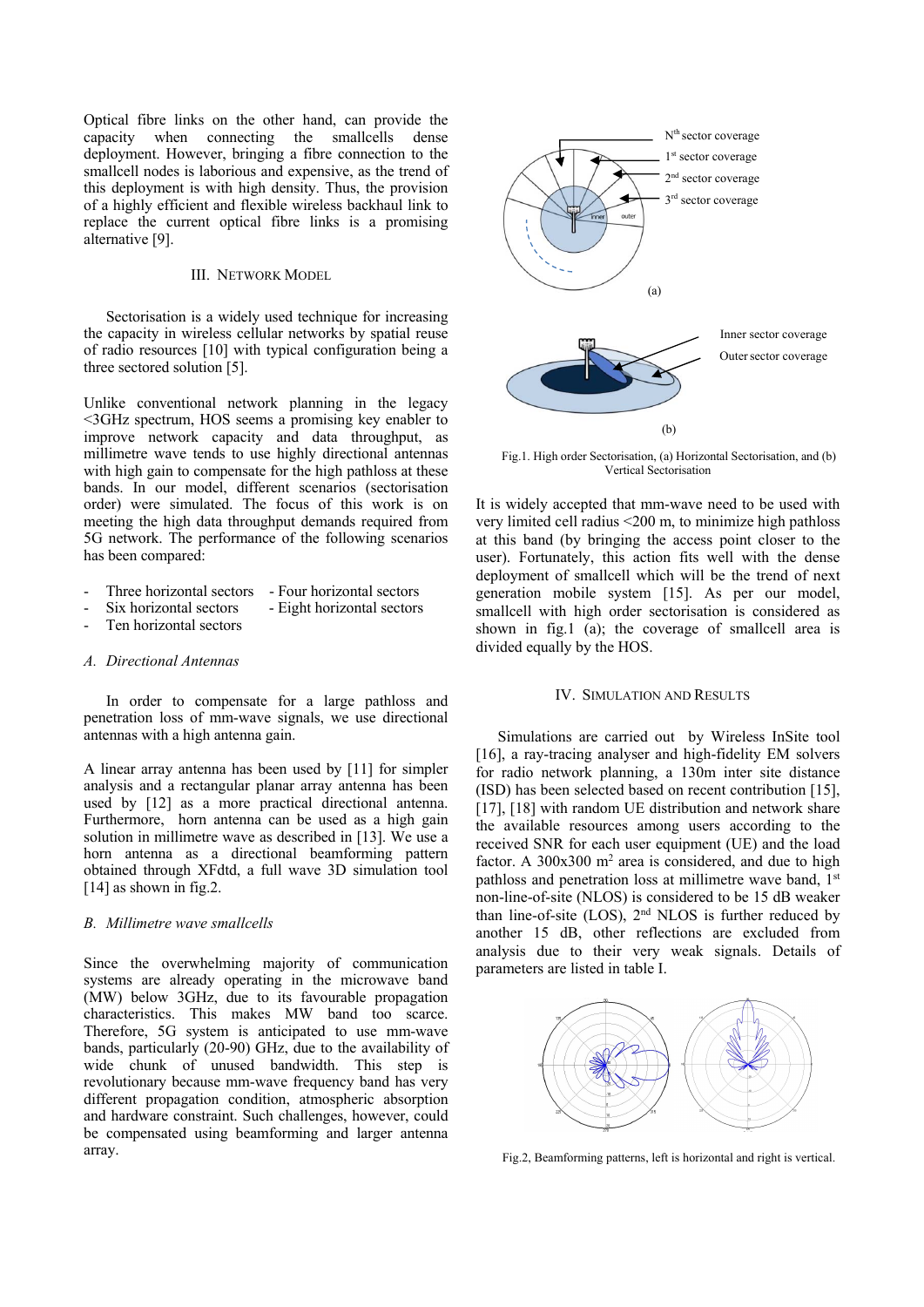Optical fibre links on the other hand, can provide the capacity when connecting the smallcells dense deployment. However, bringing a fibre connection to the smallcell nodes is laborious and expensive, as the trend of this deployment is with high density. Thus, the provision of a highly efficient and flexible wireless backhaul link to replace the current optical fibre links is a promising alternative [9].

#### III. NETWORK MODEL

Sectorisation is a widely used technique for increasing the capacity in wireless cellular networks by spatial reuse of radio resources [10] with typical configuration being a three sectored solution [5].

Unlike conventional network planning in the legacy <3GHz spectrum, HOS seems a promising key enabler to improve network capacity and data throughput, as millimetre wave tends to use highly directional antennas with high gain to compensate for the high pathloss at these bands. In our model, different scenarios (sectorisation order) were simulated. The focus of this work is on meeting the high data throughput demands required from 5G network. The performance of the following scenarios has been compared:

- Three horizontal sectors Four horizontal sectors
- Six horizontal sectors Eight horizontal sectors
- Ten horizontal sectors

# *A. Directional Antennas*

In order to compensate for a large pathloss and penetration loss of mm-wave signals, we use directional antennas with a high antenna gain.

A linear array antenna has been used by [11] for simpler analysis and a rectangular planar array antenna has been used by [12] as a more practical directional antenna. Furthermore, horn antenna can be used as a high gain solution in millimetre wave as described in [13]. We use a horn antenna as a directional beamforming pattern obtained through XFdtd, a full wave 3D simulation tool [14] as shown in fig.2.

# *B. Millimetre wave smallcells*

Since the overwhelming majority of communication systems are already operating in the microwave band (MW) below 3GHz, due to its favourable propagation characteristics. This makes MW band too scarce. Therefore, 5G system is anticipated to use mm-wave bands, particularly (20-90) GHz, due to the availability of wide chunk of unused bandwidth. This step is revolutionary because mm-wave frequency band has very different propagation condition, atmospheric absorption and hardware constraint. Such challenges, however, could be compensated using beamforming and larger antenna array.



Fig.1. High order Sectorisation, (a) Horizontal Sectorisation, and (b) Vertical Sectorisation

It is widely accepted that mm-wave need to be used with very limited cell radius <200 m, to minimize high pathloss at this band (by bringing the access point closer to the user). Fortunately, this action fits well with the dense deployment of smallcell which will be the trend of next generation mobile system [15]. As per our model, smallcell with high order sectorisation is considered as shown in fig.1 (a); the coverage of smallcell area is divided equally by the HOS.

#### IV. SIMULATION AND RESULTS

Simulations are carried out by Wireless InSite tool [16], a ray-tracing analyser and high-fidelity EM solvers for radio network planning, a 130m inter site distance (ISD) has been selected based on recent contribution [15], [17], [18] with random UE distribution and network share the available resources among users according to the received SNR for each user equipment (UE) and the load factor. A  $300x300$  m<sup>2</sup> area is considered, and due to high pathloss and penetration loss at millimetre wave band, 1<sup>st</sup> non-line-of-site (NLOS) is considered to be 15 dB weaker than line-of-site (LOS),  $2<sup>nd</sup>$  NLOS is further reduced by another 15 dB, other reflections are excluded from analysis due to their very weak signals. Details of parameters are listed in table I.



Fig.2, Beamforming patterns, left is horizontal and right is vertical.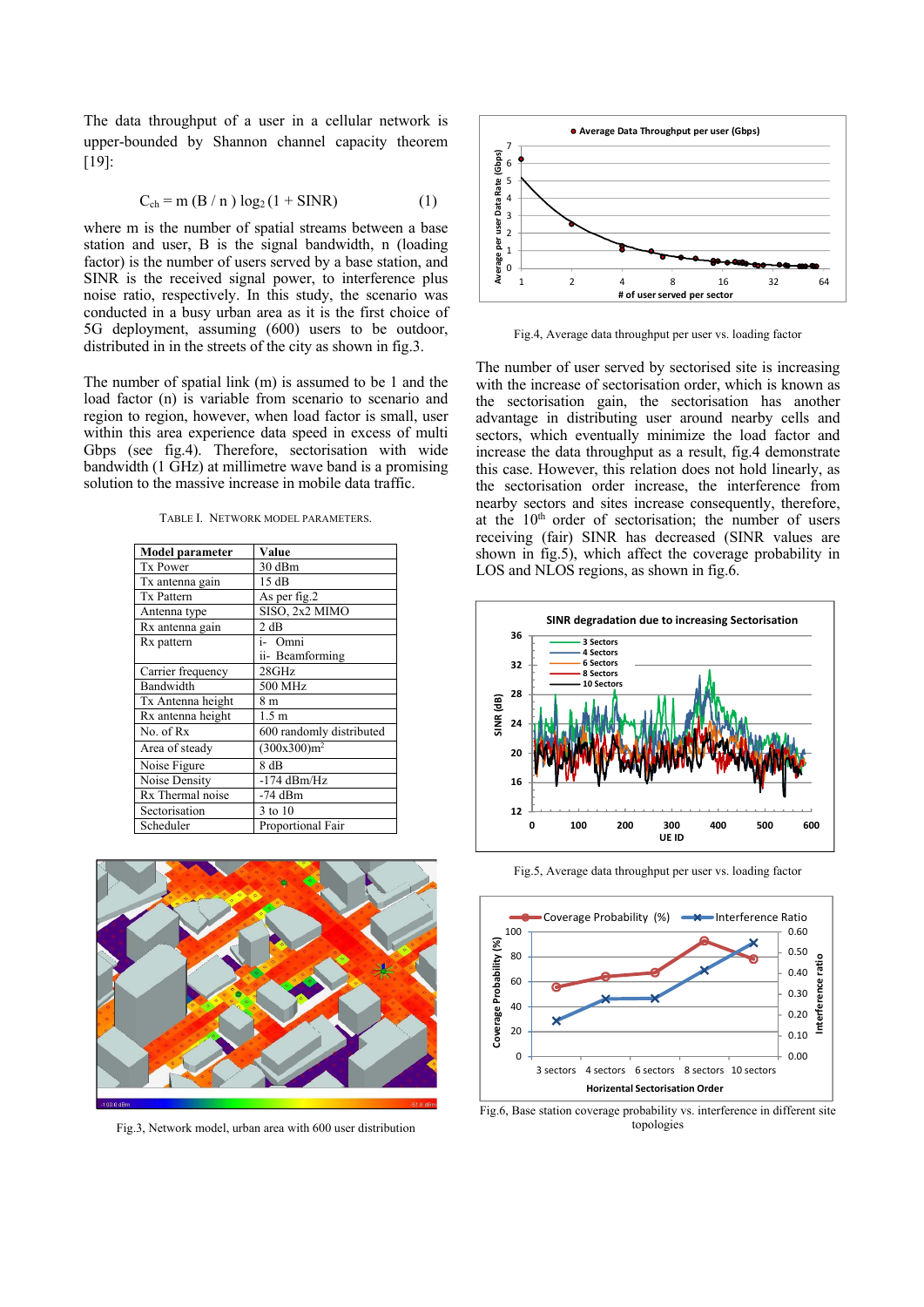The data throughput of a user in a cellular network is upper-bounded by Shannon channel capacity theorem [19]:

$$
C_{ch} = m (B/n) log2 (1 + SINR)
$$
 (1)

where m is the number of spatial streams between a base station and user, B is the signal bandwidth, n (loading factor) is the number of users served by a base station, and SINR is the received signal power, to interference plus noise ratio, respectively. In this study, the scenario was conducted in a busy urban area as it is the first choice of 5G deployment, assuming (600) users to be outdoor, distributed in in the streets of the city as shown in fig.3.

The number of spatial link (m) is assumed to be 1 and the load factor (n) is variable from scenario to scenario and region to region, however, when load factor is small, user within this area experience data speed in excess of multi Gbps (see fig.4). Therefore, sectorisation with wide bandwidth (1 GHz) at millimetre wave band is a promising solution to the massive increase in mobile data traffic.

TABLE I. NETWORK MODEL PARAMETERS.

| <b>Model parameter</b> | Value                    |  |
|------------------------|--------------------------|--|
| <b>Tx Power</b>        | 30 dBm                   |  |
| Tx antenna gain        | 15 dB                    |  |
| <b>Tx Pattern</b>      | As per fig.2             |  |
| Antenna type           | SISO, 2x2 MIMO           |  |
| Rx antenna gain        | 2 dB                     |  |
| Rx pattern             | i- Omni                  |  |
|                        | ii- Beamforming          |  |
| Carrier frequency      | 28GHz                    |  |
| Bandwidth              | 500 MHz                  |  |
| Tx Antenna height      | 8 m                      |  |
| Rx antenna height      | 1.5 <sub>m</sub>         |  |
| No. of Rx              | 600 randomly distributed |  |
| Area of steady         | (300x300)m <sup>2</sup>  |  |
| Noise Figure           | 8 dB                     |  |
| Noise Density          | $-174$ dBm/Hz            |  |
| Rx Thermal noise       | $-74$ dBm                |  |
| Sectorisation          | 3 to 10                  |  |
| Scheduler              | Proportional Fair        |  |



Fig.3, Network model, urban area with 600 user distribution



Fig.4, Average data throughput per user vs. loading factor

The number of user served by sectorised site is increasing with the increase of sectorisation order, which is known as the sectorisation gain, the sectorisation has another advantage in distributing user around nearby cells and sectors, which eventually minimize the load factor and increase the data throughput as a result, fig.4 demonstrate this case. However, this relation does not hold linearly, as the sectorisation order increase, the interference from nearby sectors and sites increase consequently, therefore, at the 10<sup>th</sup> order of sectorisation; the number of users receiving (fair) SINR has decreased (SINR values are shown in fig.5), which affect the coverage probability in LOS and NLOS regions, as shown in fig.6.



Fig.5, Average data throughput per user vs. loading factor



Fig.6, Base station coverage probability vs. interference in different site topologies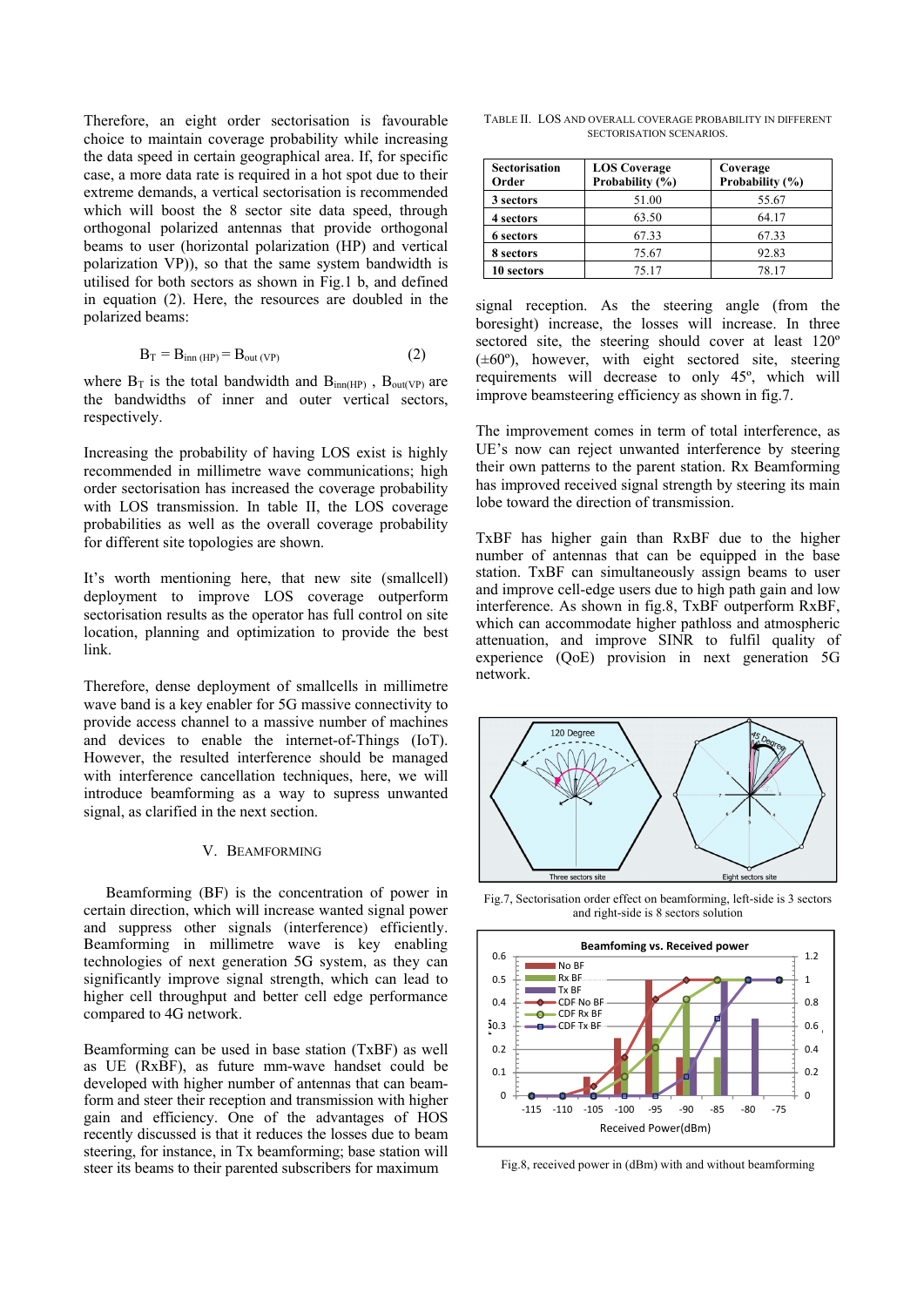Therefore, an eight order sectorisation is favourable choice to maintain coverage probability while increasing the data speed in certain geographical area. If, for specific case, a more data rate is required in a hot spot due to their extreme demands, a vertical sectorisation is recommended which will boost the 8 sector site data speed, through orthogonal polarized antennas that provide orthogonal beams to user (horizontal polarization (HP) and vertical polarization VP)), so that the same system bandwidth is utilised for both sectors as shown in Fig.1 b, and defined in equation (2). Here, the resources are doubled in the polarized beams:

$$
B_T = B_{inn (HP)} = B_{out (VP)}
$$
 (2)

where  $B_T$  is the total bandwidth and  $B_{inn(HP)}$ ,  $B_{out(VP)}$  are the bandwidths of inner and outer vertical sectors, respectively.

Increasing the probability of having LOS exist is highly recommended in millimetre wave communications; high order sectorisation has increased the coverage probability with LOS transmission. In table II, the LOS coverage probabilities as well as the overall coverage probability for different site topologies are shown.

It's worth mentioning here, that new site (smallcell) deployment to improve LOS coverage outperform sectorisation results as the operator has full control on site location, planning and optimization to provide the best link.

Therefore, dense deployment of smallcells in millimetre wave band is a key enabler for 5G massive connectivity to provide access channel to a massive number of machines and devices to enable the internet-of-Things (IoT). However, the resulted interference should be managed with interference cancellation techniques, here, we will introduce beamforming as a way to supress unwanted signal, as clarified in the next section.

#### V. BEAMFORMING

Beamforming (BF) is the concentration of power in certain direction, which will increase wanted signal power and suppress other signals (interference) efficiently. Beamforming in millimetre wave is key enabling technologies of next generation 5G system, as they can significantly improve signal strength, which can lead to higher cell throughput and better cell edge performance compared to 4G network.

Beamforming can be used in base station (TxBF) as well as UE (RxBF), as future mm-wave handset could be developed with higher number of antennas that can beamform and steer their reception and transmission with higher gain and efficiency. One of the advantages of HOS recently discussed is that it reduces the losses due to beam steering, for instance, in Tx beamforming; base station will steer its beams to their parented subscribers for maximum

TABLE II. LOS AND OVERALL COVERAGE PROBABILITY IN DIFFERENT SECTORISATION SCENARIOS.

| <b>Sectorisation</b><br>Order | <b>LOS</b> Coverage<br>Probability (%) | Coverage<br>Probability (%) |
|-------------------------------|----------------------------------------|-----------------------------|
| 3 sectors                     | 51.00                                  | 55.67                       |
| 4 sectors                     | 63.50                                  | 64.17                       |
| 6 sectors                     | 67.33                                  | 67.33                       |
| 8 sectors                     | 75.67                                  | 92.83                       |
| 10 sectors                    | 75.17                                  | 78.17                       |

signal reception. As the steering angle (from the boresight) increase, the losses will increase. In three sectored site, the steering should cover at least 120º (±60º), however, with eight sectored site, steering requirements will decrease to only 45º, which will improve beamsteering efficiency as shown in fig.7.

The improvement comes in term of total interference, as UE's now can reject unwanted interference by steering their own patterns to the parent station. Rx Beamforming has improved received signal strength by steering its main lobe toward the direction of transmission.

TxBF has higher gain than RxBF due to the higher number of antennas that can be equipped in the base station. TxBF can simultaneously assign beams to user and improve cell-edge users due to high path gain and low interference. As shown in fig.8, TxBF outperform RxBF, which can accommodate higher pathloss and atmospheric attenuation, and improve SINR to fulfil quality of experience (QoE) provision in next generation 5G network.



Fig.7, Sectorisation order effect on beamforming, left-side is 3 sectors and right-side is 8 sectors solution



Fig.8, received power in (dBm) with and without beamforming